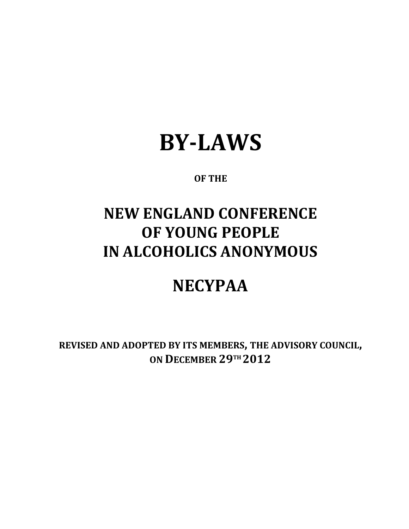# **BYLAWS**

#### **OF THE**

## **NEW ENGLAND CONFERENCE OF YOUNG PEOPLE IN ALCOHOLICS ANONYMOUS**

### **NECYPAA**

**REVISED AND ADOPTED BY ITS MEMBERS, THE ADVISORY COUNCIL, ON D ECEMBER 29 TH 2012**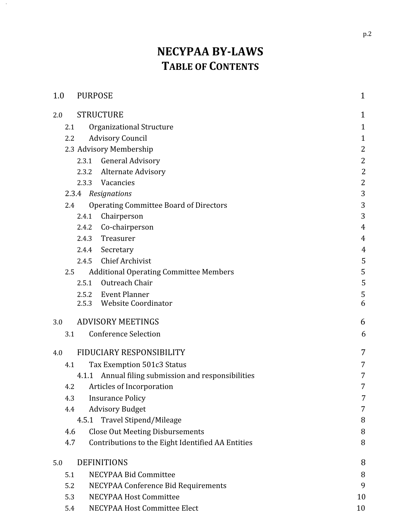### **NECYPAA BY-LAWS T ABLE OF C ONTENTS**

| 1.0 | <b>PURPOSE</b>                                           | $\mathbf{1}$   |
|-----|----------------------------------------------------------|----------------|
| 2.0 | <b>STRUCTURE</b>                                         | 1              |
| 2.1 | Organizational Structure                                 | $\mathbf{1}$   |
| 2.2 | <b>Advisory Council</b>                                  | $\mathbf{1}$   |
|     | 2.3 Advisory Membership                                  | $\overline{2}$ |
|     | 2.3.1 General Advisory                                   | $\overline{2}$ |
|     | 2.3.2 Alternate Advisory                                 | $\overline{2}$ |
|     | Vacancies<br>2.3.3                                       | $\overline{2}$ |
|     | 2.3.4<br>Resignations                                    | 3              |
| 2.4 | <b>Operating Committee Board of Directors</b>            | 3              |
|     | Chairperson<br>2.4.1                                     | 3              |
|     | Co-chairperson<br>2.4.2                                  | $\overline{4}$ |
|     | Treasurer<br>2.4.3                                       | $\overline{4}$ |
|     | 2.4.4 Secretary                                          | 4              |
|     | <b>Chief Archivist</b><br>2.4.5                          | 5              |
| 2.5 | <b>Additional Operating Committee Members</b>            | 5              |
|     | Outreach Chair<br>2.5.1                                  | 5              |
|     | 2.5.2 Event Planner                                      | 5              |
|     | 2.5.3 Website Coordinator                                | 6              |
| 3.0 | <b>ADVISORY MEETINGS</b>                                 | 6              |
| 3.1 | <b>Conference Selection</b>                              | 6              |
| 4.0 | FIDUCIARY RESPONSIBILITY                                 | 7              |
| 4.1 | Tax Exemption 501c3 Status                               | 7              |
|     | 4.1.1 Annual filing submission and responsibilities      | 7              |
| 4.2 | Articles of Incorporation                                | 7              |
| 4.3 | <b>Insurance Policy</b>                                  | 7              |
| 4.4 | <b>Advisory Budget</b>                                   | 7              |
|     | 4.5.1 Travel Stipend/Mileage                             | 8              |
| 4.6 | <b>Close Out Meeting Disbursements</b>                   | 8              |
|     | 4.7<br>Contributions to the Eight Identified AA Entities | 8              |
| 5.0 | <b>DEFINITIONS</b>                                       | 8              |
| 5.1 | NECYPAA Bid Committee                                    | 8              |
| 5.2 | NECYPAA Conference Bid Requirements                      | 9              |
| 5.3 | NECYPAA Host Committee                                   | 10             |
| 5.4 | NECYPAA Host Committee Elect                             | 10             |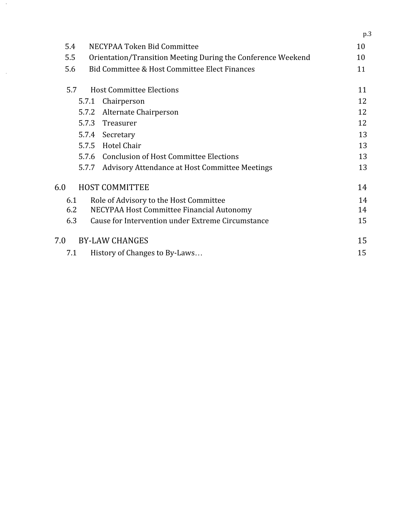|       |                                                              | p.3 |
|-------|--------------------------------------------------------------|-----|
| 5.4   | NECYPAA Token Bid Committee                                  | 10  |
| 5.5   | Orientation/Transition Meeting During the Conference Weekend | 10  |
| 5.6   | Bid Committee & Host Committee Elect Finances                | 11  |
| 5.7   | <b>Host Committee Elections</b>                              | 11  |
|       | Chairperson<br>5.7.1                                         | 12  |
| 5.7.2 | Alternate Chairperson                                        | 12  |
| 5.7.3 | Treasurer                                                    | 12  |
|       | 5.7.4 Secretary                                              | 13  |
|       | <b>Hotel Chair</b><br>5.7.5                                  | 13  |
|       | 5.7.6 Conclusion of Host Committee Elections                 | 13  |
|       | 5.7.7<br>Advisory Attendance at Host Committee Meetings      | 13  |
| 6.0   | <b>HOST COMMITTEE</b>                                        | 14  |
| 6.1   | Role of Advisory to the Host Committee                       | 14  |
| 6.2   | NECYPAA Host Committee Financial Autonomy                    | 14  |
| 6.3   | Cause for Intervention under Extreme Circumstance            | 15  |
| 7.0   | <b>BY-LAW CHANGES</b>                                        | 15  |
| 7.1   | History of Changes to By-Laws                                | 15  |

 $\hat{\boldsymbol{\gamma}}$ 

 $\sim$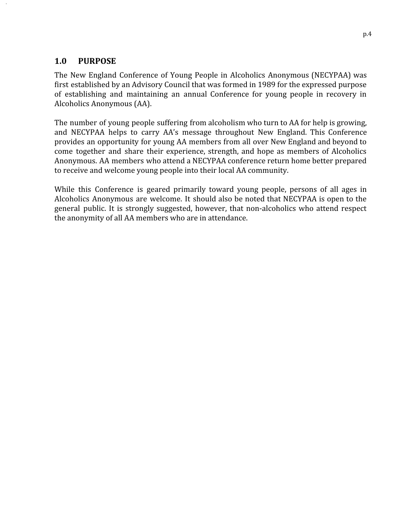#### <span id="page-3-0"></span>**1.0 PURPOSE**

The New England Conference of Young People in Alcoholics Anonymous (NECYPAA) was first established by an Advisory Council that was formed in 1989 for the expressed purpose of establishing and maintaining an annual Conference for young people in recovery in Alcoholics Anonymous (AA).

The number of young people suffering from alcoholism who turn to AA for help is growing, and NECYPAA helps to carry AA's message throughout New England. This Conference provides an opportunity for young AA members from all over New England and beyond to come together and share their experience, strength, and hope as members of Alcoholics Anonymous. AA members who attend a NECYPAA conference return home better prepared to receive and welcome young people into their local AA community.

While this Conference is geared primarily toward young people, persons of all ages in Alcoholics Anonymous are welcome. It should also be noted that NECYPAA is open to the general public. It is strongly suggested, however, that non‐alcoholics who attend respect the anonymity of all AA members who are in attendance.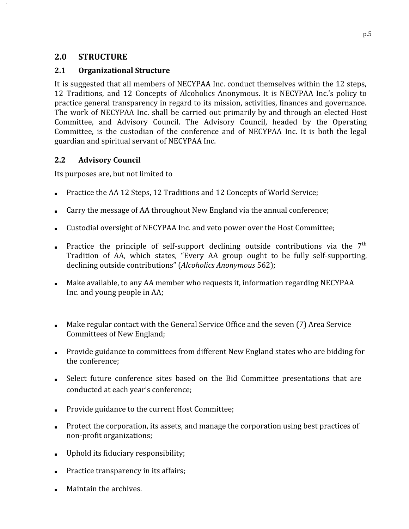#### <span id="page-4-0"></span>**2.0 STRUCTURE**

#### <span id="page-4-1"></span>**2.1 Organizational Structure**

It is suggested that all members of NECYPAA Inc. conduct themselves within the 12 steps, 12 Traditions, and 12 Concepts of Alcoholics Anonymous. It is NECYPAA Inc.'s policy to practice general transparency in regard to its mission, activities, finances and governance. The work of NECYPAA Inc. shall be carried out primarily by and through an elected Host Committee, and Advisory Council. The Advisory Council, headed by the Operating Committee, is the custodian of the conference and of NECYPAA Inc. It is both the legal guardian and spiritual servant of NECYPAA Inc.

#### <span id="page-4-2"></span>**2.2 Advisory Council**

Its purposes are, but not limited to

- Practice the AA 12 Steps, 12 Traditions and 12 Concepts of World Service;
- Carry the message of AA throughout New England via the annual conference;
- Custodial oversight of NECYPAA Inc. and veto power over the Host Committee;
- **•** Practice the principle of self-support declining outside contributions via the  $7<sup>th</sup>$ Tradition of AA, which states, "Every AA group ought to be fully self‐supporting, declining outside contributions" ( *Alcoholics Anonymous* 562);
- Make available, to any AA member who requests it, information regarding NECYPAA Inc. and young people in AA;
- Make regular contact with the General Service Office and the seven (7) Area Service Committees of New England;
- Provide guidance to committees from different New England states who are bidding for the conference;
- Select future conference sites based on the Bid Committee presentations that are conducted at each year's conference;
- Provide guidance to the current Host Committee;
- Protect the corporation, its assets, and manage the corporation using best practices of non‐profit organizations;
- Uphold its fiduciary responsibility;
- Practice transparency in its affairs;
- Maintain the archives.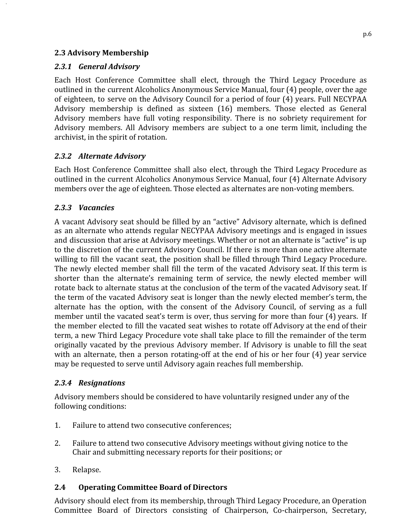#### <span id="page-5-0"></span>**2.3 Advisory Membership**

#### <span id="page-5-1"></span>*2.3.1 General Advisory*

Each Host Conference Committee shall elect, through the Third Legacy Procedure as outlined in the current Alcoholics Anonymous Service Manual, four (4) people, over the age of eighteen, to serve on the Advisory Council for a period of four (4) years. Full NECYPAA Advisory membership is defined as sixteen (16) members. Those elected as General Advisory members have full voting responsibility. There is no sobriety requirement for Advisory members. All Advisory members are subject to a one term limit, including the archivist, in the spirit of rotation.

#### <span id="page-5-2"></span>*2.3.2 Alternate Advisory*

Each Host Conference Committee shall also elect, through the Third Legacy Procedure as outlined in the current Alcoholics Anonymous Service Manual, four (4) Alternate Advisory members over the age of eighteen. Those elected as alternates are non‐voting members.

#### <span id="page-5-3"></span>*2.3.3 Vacancies*

A vacant Advisory seat should be filled by an "active" Advisory alternate, which is defined as an alternate who attends regular NECYPAA Advisory meetings and is engaged in issues and discussion that arise at Advisory meetings. Whether or not an alternate is "active" is up to the discretion of the current Advisory Council. If there is more than one active alternate willing to fill the vacant seat, the position shall be filled through Third Legacy Procedure. The newly elected member shall fill the term of the vacated Advisory seat. If this term is shorter than the alternate's remaining term of service, the newly elected member will rotate back to alternate status at the conclusion of the term of the vacated Advisory seat. If the term of the vacated Advisory seat is longer than the newly elected member's term, the alternate has the option, with the consent of the Advisory Council, of serving as a full member until the vacated seat's term is over, thus serving for more than four (4) years. If the member elected to fill the vacated seat wishes to rotate off Advisory at the end of their term, a new Third Legacy Procedure vote shall take place to fill the remainder of the term originally vacated by the previous Advisory member. If Advisory is unable to fill the seat with an alternate, then a person rotating-off at the end of his or her four (4) year service may be requested to serve until Advisory again reaches full membership.

#### <span id="page-5-4"></span>*2.3.4 Resignations*

Advisory members should be considered to have voluntarily resigned under any of the following conditions:

- 1. Failure to attend two consecutive conferences;
- 2. Failure to attend two consecutive Advisory meetings without giving notice to the Chair and submitting necessary reports for their positions; or
- <span id="page-5-5"></span>3. Relapse.

#### **2.4 Operating Committee Board of Directors**

Advisory should elect from its membership, through Third Legacy Procedure, an Operation Committee Board of Directors consisting of Chairperson, Co-chairperson, Secretary,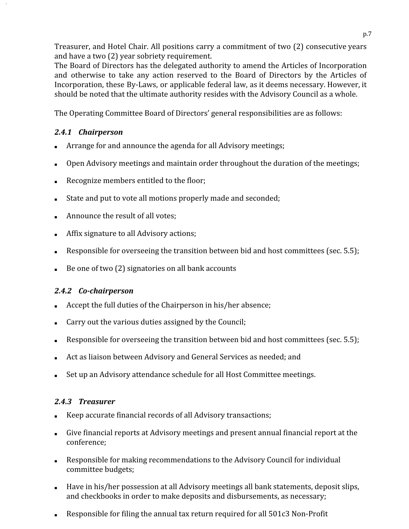Treasurer, and Hotel Chair. All positions carry a commitment of two (2) consecutive years and have a two (2) year sobriety requirement.

The Board of Directors has the delegated authority to amend the Articles of Incorporation and otherwise to take any action reserved to the Board of Directors by the Articles of Incorporation, these By‐Laws, or applicable federal law, as it deems necessary. However, it should be noted that the ultimate authority resides with the Advisory Council as a whole.

The Operating Committee Board of Directors' general responsibilities are as follows:

#### <span id="page-6-0"></span>*2.4.1 Chairperson*

- Arrange for and announce the agenda for all Advisory meetings;
- Open Advisory meetings and maintain order throughout the duration of the meetings;
- Recognize members entitled to the floor;
- State and put to vote all motions properly made and seconded;
- Announce the result of all votes;
- Affix signature to all Advisory actions;
- Responsible for overseeing the transition between bid and host committees (sec. 5.5);
- Be one of two (2) signatories on all bank accounts

#### <span id="page-6-1"></span>*2.4.2 Cochairperson*

- Accept the full duties of the Chairperson in his/her absence;
- Carry out the various duties assigned by the Council;
- Responsible for overseeing the transition between bid and host committees (sec.  $5.5$ );
- Act as liaison between Advisory and General Services as needed; and
- Set up an Advisory attendance schedule for all Host Committee meetings.

#### <span id="page-6-2"></span>*2.4.3 Treasurer*

- Keep accurate financial records of all Advisory transactions;
- Give financial reports at Advisory meetings and present annual financial report at the conference;
- Responsible for making recommendations to the Advisory Council for individual committee budgets;
- Have in his/her possession at all Advisory meetings all bank statements, deposit slips, and checkbooks in order to make deposits and disbursements, as necessary;
- Responsible for filing the annual tax return required for all 501c3 Non-Profit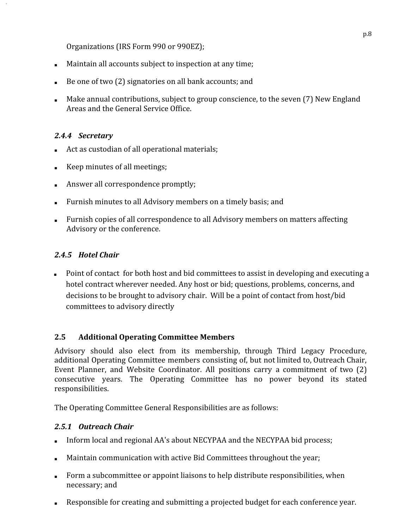Organizations (IRS Form 990 or 990EZ);

- Maintain all accounts subject to inspection at any time;
- Be one of two (2) signatories on all bank accounts; and
- Make annual contributions, subject to group conscience, to the seven (7) New England Areas and the General Service Office.

#### <span id="page-7-0"></span>*2.4.4 Secretary*

- Act as custodian of all operational materials;
- Keep minutes of all meetings;
- Answer all correspondence promptly;
- Furnish minutes to all Advisory members on a timely basis; and
- Furnish copies of all correspondence to all Advisory members on matters affecting Advisory or the conference.

#### *2.4.5 Hotel Chair*

■ Point of contact for both host and bid committees to assist in developing and executing a hotel contract wherever needed. Any host or bid; questions, problems, concerns, and decisions to be brought to advisory chair. Will be a point of contact from host/bid committees to advisory directly

#### <span id="page-7-2"></span><span id="page-7-1"></span>**2.5 Additional Operating Committee Members**

Advisory should also elect from its membership, through Third Legacy Procedure, additional Operating Committee members consisting of, but not limited to, Outreach Chair, Event Planner, and Website Coordinator. All positions carry a commitment of two (2) consecutive years. The Operating Committee has no power beyond its stated responsibilities.

The Operating Committee General Responsibilities are as follows:

#### <span id="page-7-3"></span>*2.5.1 Outreach Chair*

- Inform local and regional AA's about NECYPAA and the NECYPAA bid process;
- Maintain communication with active Bid Committees throughout the year;
- Form a subcommittee or appoint liaisons to help distribute responsibilities, when necessary; and
- Responsible for creating and submitting a projected budget for each conference year.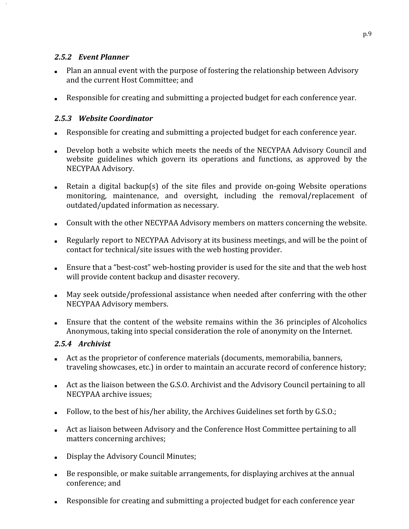#### <span id="page-8-0"></span>*2.5.2 Event Planner*

- Plan an annual event with the purpose of fostering the relationship between Advisory and the current Host Committee; and
- Responsible for creating and submitting a projected budget for each conference year.

#### <span id="page-8-1"></span>*2.5.3 Website Coordinator*

- Responsible for creating and submitting a projected budget for each conference year.
- Develop both a website which meets the needs of the NECYPAA Advisory Council and website guidelines which govern its operations and functions, as approved by the NECYPAA Advisory.
- Retain a digital backup(s) of the site files and provide on-going Website operations monitoring, maintenance, and oversight, including the removal/replacement of outdated/updated information as necessary.
- Consult with the other NECYPAA Advisory members on matters concerning the website.
- Regularly report to NECYPAA Advisory at its business meetings, and will be the point of contact for technical/site issues with the web hosting provider.
- Ensure that a "best-cost" web-hosting provider is used for the site and that the web host will provide content backup and disaster recovery.
- May seek outside/professional assistance when needed after conferring with the other NECYPAA Advisory members.
- Ensure that the content of the website remains within the 36 principles of Alcoholics Anonymous, taking into special consideration the role of anonymity on the Internet.

#### *2.5.4 Archivist*

- Act as the proprietor of conference materials (documents, memorabilia, banners, traveling showcases, etc.) in order to maintain an accurate record of conference history;
- Act as the liaison between the G.S.O. Archivist and the Advisory Council pertaining to all NECYPAA archive issues;
- Follow, to the best of his/her ability, the Archives Guidelines set forth by G.S.O.;
- Act as liaison between Advisory and the Conference Host Committee pertaining to all matters concerning archives;
- Display the Advisory Council Minutes;
- Be responsible, or make suitable arrangements, for displaying archives at the annual conference; and
- Responsible for creating and submitting a projected budget for each conference year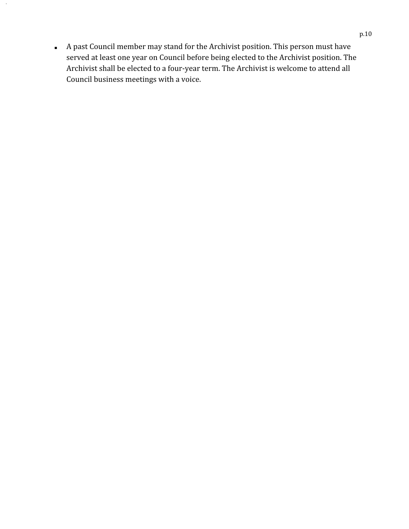■ A past Council member may stand for the Archivist position. This person must have served at least one year on Council before being elected to the Archivist position. The Archivist shall be elected to a four‐year term. The Archivist is welcome to attend all Council business meetings with a voice.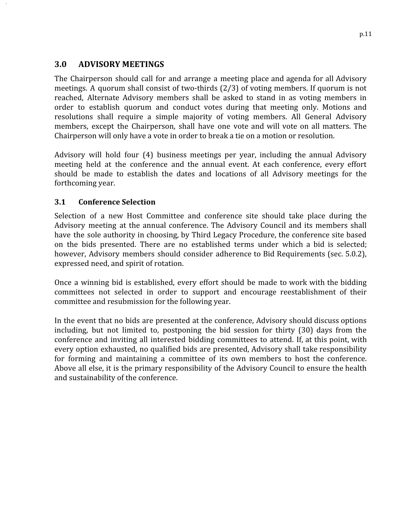#### <span id="page-10-0"></span>**3.0 ADVISORY MEETINGS**

The Chairperson should call for and arrange a meeting place and agenda for all Advisory meetings. A quorum shall consist of two-thirds  $(2/3)$  of voting members. If quorum is not reached, Alternate Advisory members shall be asked to stand in as voting members in order to establish quorum and conduct votes during that meeting only. Motions and resolutions shall require a simple majority of voting members. All General Advisory members, except the Chairperson, shall have one vote and will vote on all matters. The Chairperson will only have a vote in order to break a tie on a motion or resolution.

Advisory will hold four (4) business meetings per year, including the annual Advisory meeting held at the conference and the annual event. At each conference, every effort should be made to establish the dates and locations of all Advisory meetings for the forthcoming year.

#### <span id="page-10-1"></span>**3.1 Conference Selection**

Selection of a new Host Committee and conference site should take place during the Advisory meeting at the annual conference. The Advisory Council and its members shall have the sole authority in choosing, by Third Legacy Procedure, the conference site based on the bids presented. There are no established terms under which a bid is selected; however, Advisory members should consider adherence to Bid Requirements (sec. 5.0.2), expressed need, and spirit of rotation.

Once a winning bid is established, every effort should be made to work with the bidding committees not selected in order to support and encourage reestablishment of their committee and resubmission for the following year.

In the event that no bids are presented at the conference, Advisory should discuss options including, but not limited to, postponing the bid session for thirty (30) days from the conference and inviting all interested bidding committees to attend. If, at this point, with every option exhausted, no qualified bids are presented, Advisory shall take responsibility for forming and maintaining a committee of its own members to host the conference. Above all else, it is the primary responsibility of the Advisory Council to ensure the health and sustainability of the conference.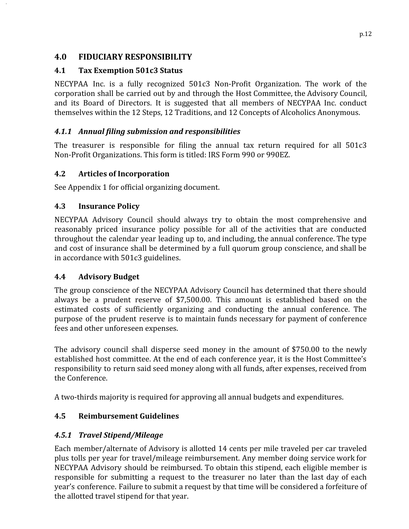#### <span id="page-11-0"></span>**4.0 FIDUCIARY RESPONSIBILITY**

#### <span id="page-11-1"></span>**4.1 Tax Exemption 501c3 Status**

NECYPAA Inc. is a fully recognized 501c3 Non‐Profit Organization. The work of the corporation shall be carried out by and through the Host Committee, the Advisory Council, and its Board of Directors. It is suggested that all members of NECYPAA Inc. conduct themselves within the 12 Steps, 12 Traditions, and 12 Concepts of Alcoholics Anonymous.

#### <span id="page-11-2"></span>*4.1.1 Annual filing submission and responsibilities*

The treasurer is responsible for filing the annual tax return required for all 501c3 Non‐Profit Organizations. This form is titled: IRS Form 990 or 990EZ.

#### <span id="page-11-3"></span>**4.2 Articles of Incorporation**

See Appendix 1 for official organizing document.

#### <span id="page-11-4"></span>**4.3 Insurance Policy**

NECYPAA Advisory Council should always try to obtain the most comprehensive and reasonably priced insurance policy possible for all of the activities that are conducted throughout the calendar year leading up to, and including, the annual conference. The type and cost of insurance shall be determined by a full quorum group conscience, and shall be in accordance with 501c3 guidelines.

#### <span id="page-11-5"></span>**4.4 Advisory Budget**

The group conscience of the NECYPAA Advisory Council has determined that there should always be a prudent reserve of \$7,500.00. This amount is established based on the estimated costs of sufficiently organizing and conducting the annual conference. The purpose of the prudent reserve is to maintain funds necessary for payment of conference fees and other unforeseen expenses.

The advisory council shall disperse seed money in the amount of \$750.00 to the newly established host committee. At the end of each conference year, it is the Host Committee's responsibility to return said seed money along with all funds, after expenses, received from the Conference.

A two-thirds majority is required for approving all annual budgets and expenditures.

#### **4.5 Reimbursement Guidelines**

#### <span id="page-11-6"></span>*4.5.1 Travel Stipend/Mileage*

Each member/alternate of Advisory is allotted 14 cents per mile traveled per car traveled plus tolls per year for travel/mileage reimbursement. Any member doing service work for NECYPAA Advisory should be reimbursed. To obtain this stipend, each eligible member is responsible for submitting a request to the treasurer no later than the last day of each year's conference. Failure to submit a request by that time will be considered a forfeiture of the allotted travel stipend for that year.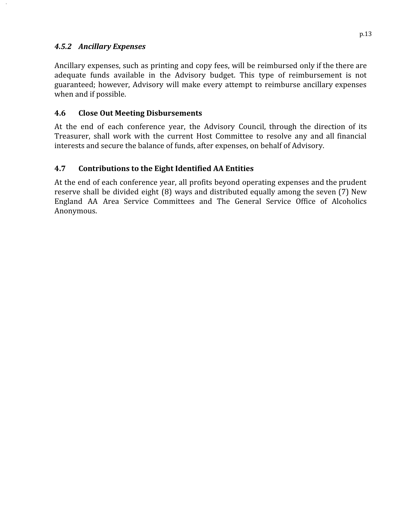#### *4.5.2 Ancillary Expenses*

Ancillary expenses, such as printing and copy fees, will be reimbursed only if the there are adequate funds available in the Advisory budget. This type of reimbursement is not guaranteed; however, Advisory will make every attempt to reimburse ancillary expenses when and if possible.

#### <span id="page-12-0"></span>**4.6 Close Out Meeting Disbursements**

At the end of each conference year, the Advisory Council, through the direction of its Treasurer, shall work with the current Host Committee to resolve any and all financial interests and secure the balance of funds, after expenses, on behalf of Advisory.

#### <span id="page-12-1"></span>**4.7 Contributions to the Eight Identified AA Entities**

At the end of each conference year, all profits beyond operating expenses and the prudent reserve shall be divided eight (8) ways and distributed equally among the seven (7) New England AA Area Service Committees and The General Service Office of Alcoholics Anonymous.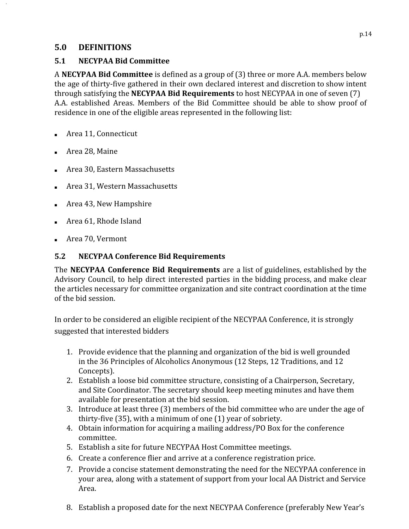#### <span id="page-13-0"></span>**5.0 DEFINITIONS**

#### <span id="page-13-1"></span>**5.1 NECYPAA Bid Committee**

A **NECYPAA Bid Committee** is defined as a group of (3) three or more A.A. members below the age of thirty‐five gathered in their own declared interest and discretion to show intent through satisfying the **NECYPAA Bid Requirements** to host NECYPAA in one of seven (7) A.A. established Areas. Members of the Bid Committee should be able to show proof of residence in one of the eligible areas represented in the following list:

- Area 11, Connecticut
- Area 28, Maine
- Area 30, Eastern Massachusetts
- Area 31, Western Massachusetts
- Area 43, New Hampshire
- Area 61, Rhode Island
- Area 70, Vermont

#### <span id="page-13-2"></span>**5.2 NECYPAA Conference Bid Requirements**

The **NECYPAA Conference Bid Requirements** are a list of guidelines, established by the Advisory Council, to help direct interested parties in the bidding process, and make clear the articles necessary for committee organization and site contract coordination at the time of the bid session.

In order to be considered an eligible recipient of the NECYPAA Conference, it is strongly suggested that interested bidders

- 1. Provide evidence that the planning and organization of the bid is well grounded in the 36 Principles of Alcoholics Anonymous (12 Steps, 12 Traditions, and 12 Concepts).
- 2. Establish a loose bid committee structure, consisting of a Chairperson, Secretary, and Site Coordinator. The secretary should keep meeting minutes and have them available for presentation at the bid session.
- 3. Introduce at least three (3) members of the bid committee who are under the age of thirty‐five (35), with a minimum of one (1) year of sobriety.
- 4. Obtain information for acquiring a mailing address/PO Box for the conference committee.
- 5. Establish a site for future NECYPAA Host Committee meetings.
- 6. Create a conference flier and arrive at a conference registration price.
- 7. Provide a concise statement demonstrating the need for the NECYPAA conference in your area, along with a statement of support from your local AA District and Service Area.
- 8. Establish a proposed date for the next NECYPAA Conference (preferably New Year's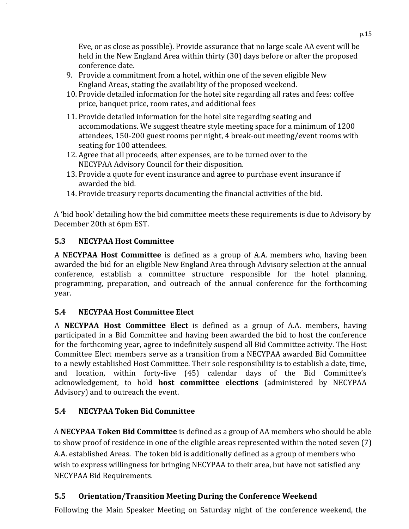Eve, or as close as possible). Provide assurance that no large scale AA event will be held in the New England Area within thirty (30) days before or after the proposed conference date.

- 9. Provide a commitment from a hotel, within one of the seven eligible New England Areas, stating the availability of the proposed weekend.
- 10. Provide detailed information for the hotel site regarding all rates and fees: coffee price, banquet price, room rates, and additional fees
- 11. Provide detailed information for the hotel site regarding seating and accommodations. We suggest theatre style meeting space for a minimum of 1200 attendees, 150‐200 guest rooms per night, 4 break‐out meeting/event rooms with seating for 100 attendees.
- 12. Agree that all proceeds, after expenses, are to be turned over to the NECYPAA Advisory Council for their disposition.
- 13. Provide a quote for event insurance and agree to purchase event insurance if awarded the bid.
- 14. Provide treasury reports documenting the financial activities of the bid.

A 'bid book' detailing how the bid committee meets these requirements is due to Advisory by December 20th at 6pm EST.

#### <span id="page-14-0"></span>**5.3 NECYPAA Host Committee**

A **NECYPAA Host Committee** is defined as a group of A.A. members who, having been awarded the bid for an eligible New England Area through Advisory selection at the annual conference, establish a committee structure responsible for the hotel planning, programming, preparation, and outreach of the annual conference for the forthcoming year.

#### <span id="page-14-1"></span>**5.4 NECYPAA Host Committee Elect**

A **NECYPAA Host Committee Elect** is defined as a group of A.A. members, having participated in a Bid Committee and having been awarded the bid to host the conference for the forthcoming year, agree to indefinitely suspend all Bid Committee activity. The Host Committee Elect members serve as a transition from a NECYPAA awarded Bid Committee to a newly established Host Committee. Their sole responsibility is to establish a date, time, and location, within forty‐five (45) calendar days of the Bid Committee's acknowledgement, to hold **host committee elections** (administered by NECYPAA Advisory) and to outreach the event.

#### **5.4 NECYPAA Token Bid Committee**

A  **NECYPAA Token Bid Committee**  is defined as a group of AA members who should be able to show proof of residence in one of the eligible areas represented within the noted seven (7) A.A. established Areas. The token bid is additionally defined as a group of members who wish to express willingness for bringing NECYPAA to their area, but have not satisfied any NECYPAA Bid Requirements.

#### <span id="page-14-2"></span>**5.5 Orientation/Transition Meeting During the Conference Weekend**

Following the Main Speaker Meeting on Saturday night of the conference weekend, the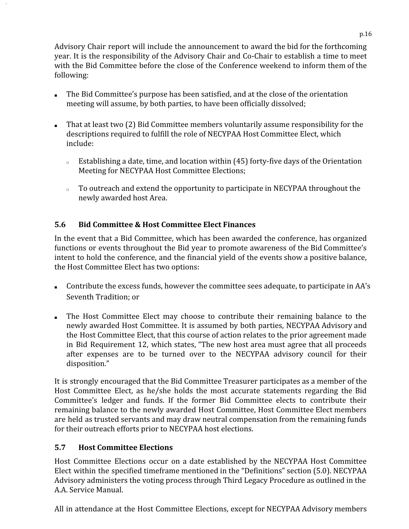Advisory Chair report will include the announcement to award the bid for the forthcoming year. It is the responsibility of the Advisory Chair and Co‐Chair to establish a time to meet with the Bid Committee before the close of the Conference weekend to inform them of the following:

- The Bid Committee's purpose has been satisfied, and at the close of the orientation meeting will assume, by both parties, to have been officially dissolved;
- That at least two (2) Bid Committee members voluntarily assume responsibility for the descriptions required to fulfill the role of NECYPAA Host Committee Elect, which include:
	- □ Establishing a date, time, and location within (45) forty-five days of the Orientation Meeting for NECYPAA Host Committee Elections;
	- □ To outreach and extend the opportunity to participate in NECYPAA throughout the newly awarded host Area.

#### <span id="page-15-0"></span>**5.6 Bid Committee & Host Committee Elect Finances**

In the event that a Bid Committee, which has been awarded the conference, has organized functions or events throughout the Bid year to promote awareness of the Bid Committee's intent to hold the conference, and the financial yield of the events show a positive balance, the Host Committee Elect has two options:

- Contribute the excess funds, however the committee sees adequate, to participate in AA's Seventh Tradition; or
- The Host Committee Elect may choose to contribute their remaining balance to the newly awarded Host Committee. It is assumed by both parties, NECYPAA Advisory and the Host Committee Elect, that this course of action relates to the prior agreement made in Bid Requirement 12, which states, "The new host area must agree that all proceeds after expenses are to be turned over to the NECYPAA advisory council for their disposition."

It is strongly encouraged that the Bid Committee Treasurer participates as a member of the Host Committee Elect, as he/she holds the most accurate statements regarding the Bid Committee's ledger and funds. If the former Bid Committee elects to contribute their remaining balance to the newly awarded Host Committee, Host Committee Elect members are held as trusted servants and may draw neutral compensation from the remaining funds for their outreach efforts prior to NECYPAA host elections.

#### <span id="page-15-1"></span>**5.7 Host Committee Elections**

Host Committee Elections occur on a date established by the NECYPAA Host Committee Elect within the specified timeframe mentioned in the "Definitions" section (5.0). NECYPAA Advisory administers the voting process through Third Legacy Procedure as outlined in the A.A. Service Manual.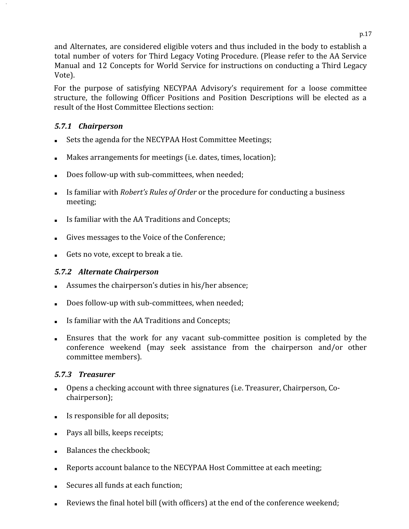and Alternates, are considered eligible voters and thus included in the body to establish a total number of voters for Third Legacy Voting Procedure. (Please refer to the AA Service Manual and 12 Concepts for World Service for instructions on conducting a Third Legacy Vote).

For the purpose of satisfying NECYPAA Advisory's requirement for a loose committee structure, the following Officer Positions and Position Descriptions will be elected as a result of the Host Committee Elections section:

#### <span id="page-16-0"></span>*5.7.1 Chairperson*

- Sets the agenda for the NECYPAA Host Committee Meetings;
- Makes arrangements for meetings (i.e. dates, times, location);
- Does follow-up with sub-committees, when needed;
- Is familiar with *Robert's Rules of Order* or the procedure for conducting a business meeting;
- Is familiar with the AA Traditions and Concepts;
- Gives messages to the Voice of the Conference;
- Gets no vote, except to break a tie.

#### <span id="page-16-1"></span>*5.7.2 Alternate Chairperson*

- Assumes the chairperson's duties in his/her absence;
- Does follow-up with sub-committees, when needed;
- Is familiar with the AA Traditions and Concepts;
- Ensures that the work for any vacant sub-committee position is completed by the conference weekend (may seek assistance from the chairperson and/or other committee members).

#### <span id="page-16-2"></span>*5.7.3 Treasurer*

- Opens a checking account with three signatures (i.e. Treasurer, Chairperson, Co‐ chairperson);
- Is responsible for all deposits;
- Pays all bills, keeps receipts;
- Balances the checkbook;
- Reports account balance to the NECYPAA Host Committee at each meeting;
- Secures all funds at each function;
- Reviews the final hotel bill (with officers) at the end of the conference weekend;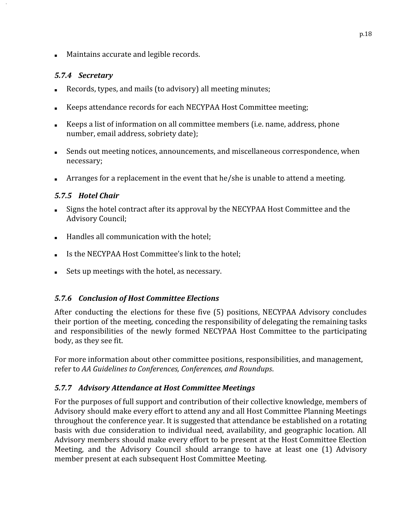■ Maintains accurate and legible records.

#### <span id="page-17-0"></span>*5.7.4 Secretary*

- Records, types, and mails (to advisory) all meeting minutes;
- Keeps attendance records for each NECYPAA Host Committee meeting;
- Keeps a list of information on all committee members (i.e. name, address, phone number, email address, sobriety date);
- Sends out meeting notices, announcements, and miscellaneous correspondence, when necessary;
- Arranges for a replacement in the event that he/she is unable to attend a meeting.

#### <span id="page-17-1"></span>*5.7.5 Hotel Chair*

- Signs the hotel contract after its approval by the NECYPAA Host Committee and the Advisory Council;
- Handles all communication with the hotel;
- Is the NECYPAA Host Committee's link to the hotel;
- Sets up meetings with the hotel, as necessary.

#### <span id="page-17-2"></span>*5.7.6 Conclusion of Host Committee Elections*

After conducting the elections for these five (5) positions, NECYPAA Advisory concludes their portion of the meeting, conceding the responsibility of delegating the remaining tasks and responsibilities of the newly formed NECYPAA Host Committee to the participating body, as they see fit.

For more information about other committee positions, responsibilities, and management, refer to *AA Guidelines to Conferences, Conferences, and Roundups* .

#### <span id="page-17-3"></span>*5.7.7 Advisory Attendance at Host Committee Meetings*

For the purposes of full support and contribution of their collective knowledge, members of Advisory should make every effort to attend any and all Host Committee Planning Meetings throughout the conference year. It is suggested that attendance be established on a rotating basis with due consideration to individual need, availability, and geographic location. All Advisory members should make every effort to be present at the Host Committee Election Meeting, and the Advisory Council should arrange to have at least one (1) Advisory member present at each subsequent Host Committee Meeting.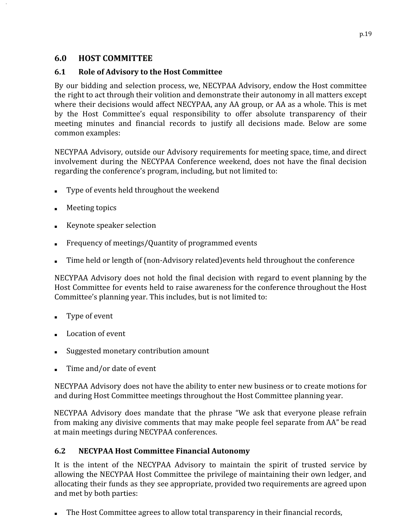#### <span id="page-18-0"></span>**6.0 HOST COMMITTEE**

#### <span id="page-18-1"></span>**6.1 Role of Advisory to the Host Committee**

By our bidding and selection process, we, NECYPAA Advisory, endow the Host committee the right to act through their volition and demonstrate their autonomy in all matters except where their decisions would affect NECYPAA, any AA group, or AA as a whole. This is met by the Host Committee's equal responsibility to offer absolute transparency of their meeting minutes and financial records to justify all decisions made. Below are some common examples:

NECYPAA Advisory, outside our Advisory requirements for meeting space, time, and direct involvement during the NECYPAA Conference weekend, does not have the final decision regarding the conference's program, including, but not limited to:

- Type of events held throughout the weekend
- **Meeting topics**
- Keynote speaker selection
- Frequency of meetings/Quantity of programmed events
- Time held or length of (non-Advisory related) events held throughout the conference

NECYPAA Advisory does not hold the final decision with regard to event planning by the Host Committee for events held to raise awareness for the conference throughout the Host Committee's planning year. This includes, but is not limited to:

- Type of event
- Location of event
- Suggested monetary contribution amount
- Time and/or date of event

NECYPAA Advisory does not have the ability to enter new business or to create motions for and during Host Committee meetings throughout the Host Committee planning year.

NECYPAA Advisory does mandate that the phrase "We ask that everyone please refrain from making any divisive comments that may make people feel separate from AA" be read at main meetings during NECYPAA conferences.

#### <span id="page-18-2"></span>**6.2 NECYPAA Host Committee Financial Autonomy**

It is the intent of the NECYPAA Advisory to maintain the spirit of trusted service by allowing the NECYPAA Host Committee the privilege of maintaining their own ledger, and allocating their funds as they see appropriate, provided two requirements are agreed upon and met by both parties:

The Host Committee agrees to allow total transparency in their financial records,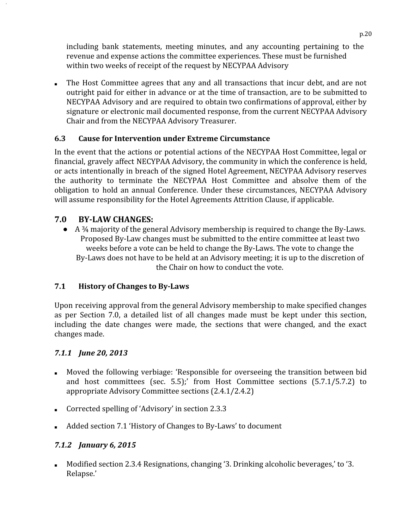including bank statements, meeting minutes, and any accounting pertaining to the revenue and expense actions the committee experiences. These must be furnished within two weeks of receipt of the request by NECYPAA Advisory

■ The Host Committee agrees that any and all transactions that incur debt, and are not outright paid for either in advance or at the time of transaction, are to be submitted to NECYPAA Advisory and are required to obtain two confirmations of approval, either by signature or electronic mail documented response, from the current NECYPAA Advisory Chair and from the NECYPAA Advisory Treasurer.

#### <span id="page-19-0"></span>**6.3 Cause for Intervention under Extreme Circumstance**

In the event that the actions or potential actions of the NECYPAA Host Committee, legal or financial, gravely affect NECYPAA Advisory, the community in which the conference is held, or acts intentionally in breach of the signed Hotel Agreement, NECYPAA Advisory reserves the authority to terminate the NECYPAA Host Committee and absolve them of the obligation to hold an annual Conference. Under these circumstances, NECYPAA Advisory will assume responsibility for the Hotel Agreements Attrition Clause, if applicable.

#### <span id="page-19-1"></span>**7.0 BYLAW CHANGES:**

● A 3<sup>4</sup> majority of the general Advisory membership is required to change the By-Laws. Proposed By‐Law changes must be submitted to the entire committee at least two weeks before a vote can be held to change the By‐Laws. The vote to change the By‐Laws does not have to be held at an Advisory meeting; it is up to the discretion of the Chair on how to conduct the vote.

#### **7.1 History of Changes to ByLaws**

Upon receiving approval from the general Advisory membership to make specified changes as per Section 7.0, a detailed list of all changes made must be kept under this section, including the date changes were made, the sections that were changed, and the exact changes made.

#### *7.1.1 June 20, 2013*

- Moved the following verbiage: 'Responsible for overseeing the transition between bid and host committees (sec. 5.5);' from Host Committee sections (5.7.1/5.7.2) to appropriate Advisory Committee sections (2.4.1/2.4.2)
- Corrected spelling of 'Advisory' in section 2.3.3
- Added section 7.1 'History of Changes to By-Laws' to document

#### *7.1.2 January 6, 2015*

Modified section 2.3.4 Resignations, changing '3. Drinking alcoholic beverages,' to '3. Relapse.'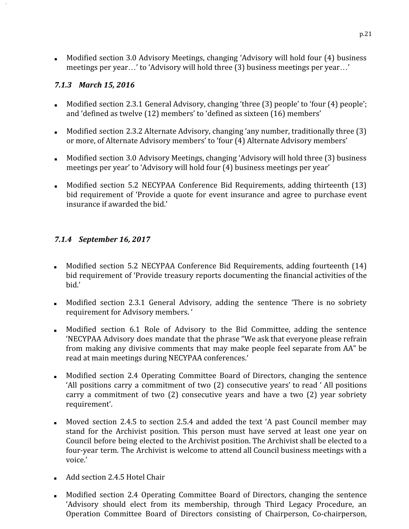■ Modified section 3.0 Advisory Meetings, changing 'Advisory will hold four (4) business meetings per year…' to 'Advisory will hold three (3) business meetings per year…'

#### *7.1.3 March 15, 2016*

- Modified section 2.3.1 General Advisory, changing 'three (3) people' to 'four (4) people'; and 'defined as twelve (12) members' to 'defined as sixteen (16) members'
- Modified section 2.3.2 Alternate Advisory, changing 'any number, traditionally three (3) or more, of Alternate Advisory members' to 'four (4) Alternate Advisory members'
- Modified section 3.0 Advisory Meetings, changing 'Advisory will hold three (3) business meetings per year' to 'Advisory will hold four (4) business meetings per year'
- Modified section 5.2 NECYPAA Conference Bid Requirements, adding thirteenth (13) bid requirement of 'Provide a quote for event insurance and agree to purchase event insurance if awarded the bid.'

#### *7.1.4 September 16, 2017*

- Modified section 5.2 NECYPAA Conference Bid Requirements, adding fourteenth (14) bid requirement of 'Provide treasury reports documenting the financial activities of the bid.'
- Modified section 2.3.1 General Advisory, adding the sentence 'There is no sobriety requirement for Advisory members. '
- Modified section 6.1 Role of Advisory to the Bid Committee, adding the sentence 'NECYPAA Advisory does mandate that the phrase "We ask that everyone please refrain from making any divisive comments that may make people feel separate from AA" be read at main meetings during NECYPAA conferences.'
- Modified section 2.4 Operating Committee Board of Directors, changing the sentence 'All positions carry a commitment of two (2) consecutive years' to read ' All positions carry a commitment of two (2) consecutive years and have a two (2) year sobriety requirement'.
- Moved section 2.4.5 to section 2.5.4 and added the text 'A past Council member may stand for the Archivist position. This person must have served at least one year on Council before being elected to the Archivist position. The Archivist shall be elected to a four-year term. The Archivist is welcome to attend all Council business meetings with a voice.'
- Add section 2.4.5 Hotel Chair
- Modified section 2.4 Operating Committee Board of Directors, changing the sentence 'Advisory should elect from its membership, through Third Legacy Procedure, an Operation Committee Board of Directors consisting of Chairperson, Co‐chairperson,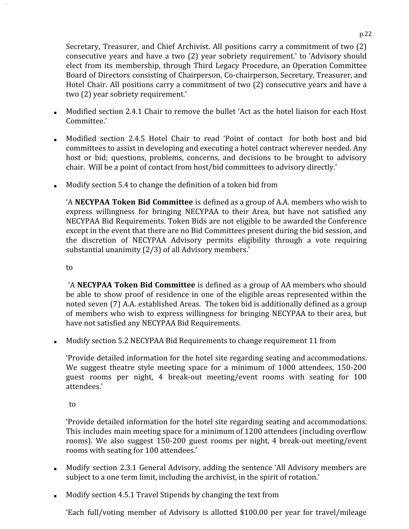Secretary, Treasurer, and Chief Archivist. All positions carry a commitment of two (2) consecutive years and have a two (2) year sobriety requirement.' to 'Advisory should elect from its membership, through Third Legacy Procedure, an Operation Committee Board of Directors consisting of Chairperson, Co‐chairperson, Secretary, Treasurer, and Hotel Chair. All positions carry a commitment of two (2) consecutive years and have a two (2) year sobriety requirement.'

- Modified section 2.4.1 Chair to remove the bullet 'Act as the hotel liaison for each Host Committee.'
- Modified section 2.4.5 Hotel Chair to read 'Point of contact for both host and bid committees to assist in developing and executing a hotel contract wherever needed. Any host or bid; questions, problems, concerns, and decisions to be brought to advisory chair. Will be a point of contact from host/bid committees to advisory directly.'
- Modify section 5.4 to change the definition of a token bid from

'A **NECYPAA Token Bid Committee** is defined as a group of A.A. members who wish to express willingness for bringing NECYPAA to their Area, but have not satisfied any NECYPAA Bid Requirements. Token Bids are not eligible to be awarded the Conference except in the event that there are no Bid Committees present during the bid session, and the discretion of NECYPAA Advisory permits eligibility through a vote requiring substantial unanimity (2/3) of all Advisory members.'

to

'A **NECYPAA Token Bid Committee** is defined as a group of AA members who should be able to show proof of residence in one of the eligible areas represented within the noted seven (7) A.A. established Areas. The token bid is additionally defined as a group of members who wish to express willingness for bringing NECYPAA to their area, but have not satisfied any NECYPAA Bid Requirements.

■ Modify section 5.2 NECYPAA Bid Requirements to change requirement 11 from

'Provide detailed information for the hotel site regarding seating and accommodations. We suggest theatre style meeting space for a minimum of 1000 attendees, 150-200 guest rooms per night, 4 break‐out meeting/event rooms with seating for 100 attendees.'

to

'Provide detailed information for the hotel site regarding seating and accommodations. This includes main meeting space for a minimum of 1200 attendees (including overflow rooms). We also suggest 150‐200 guest rooms per night, 4 break‐out meeting/event rooms with seating for 100 attendees.'

- Modify section 2.3.1 General Advisory, adding the sentence 'All Advisory members are subject to a one term limit, including the archivist, in the spirit of rotation.'
- Modify section 4.5.1 Travel Stipends by changing the text from

'Each full/voting member of Advisory is allotted \$100.00 per year for travel/mileage